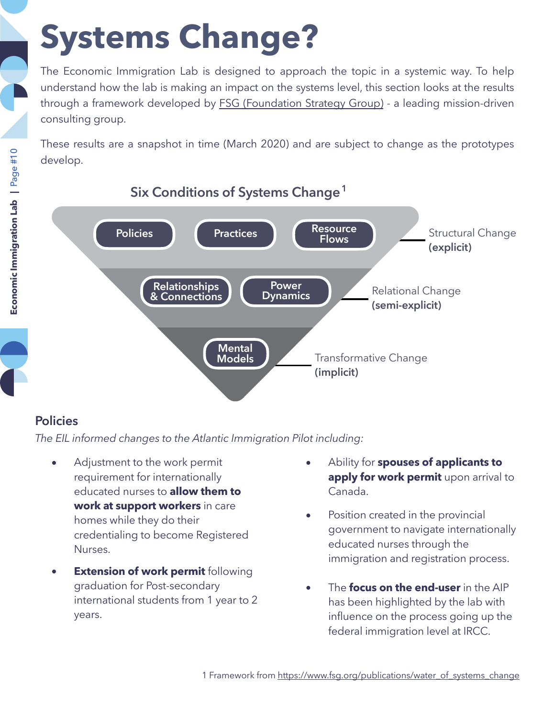# **Systems Change?**

The Economic Immigration Lab is designed to approach the topic in a systemic way. To help understand how the lab is making an impact on the systems level, this section looks at the results through a framework developed by [FSG \(Foundation Strategy Group\)](https://www.fsg.org/) - a leading mission-driven consulting group.

These results are a snapshot in time (March 2020) and are subject to change as the prototypes develop.



## **Six Conditions of Systems Change 1**

#### **Policies**

*The EIL informed changes to the Atlantic Immigration Pilot including:*

- Adjustment to the work permit requirement for internationally educated nurses to **allow them to work at support workers** in care homes while they do their credentialing to become Registered Nurses.
- **Extension of work permit following** graduation for Post-secondary international students from 1 year to 2 years.
- Ability for **spouses of applicants to apply for work permit** upon arrival to Canada.
- Position created in the provincial government to navigate internationally educated nurses through the immigration and registration process.
- The **focus on the end-user** in the AIP has been highlighted by the lab with influence on the process going up the federal immigration level at IRCC.